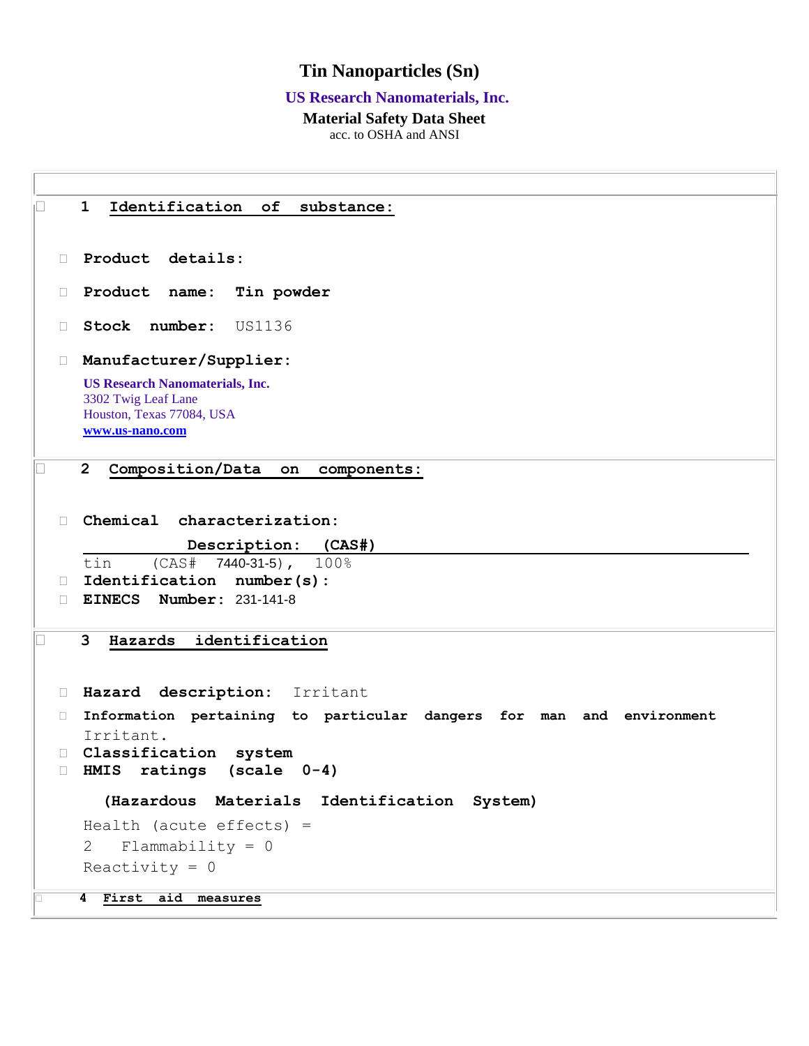## **Tin Nanoparticles (Sn)**

#### **US Research Nanomaterials, Inc.**

## **Material Safety Data Sheet**

acc. to OSHA and ANSI

 **1 Identification of substance: Product details: Product name: Tin powder Stock number:** US1136 **Manufacturer/Supplier: US Research Nanomaterials, Inc.** 3302 Twig Leaf Lane Houston, Texas 77084, USA **[www.us-nano.com](http://www.us-nano.com/) 2 Composition/Data on components: Chemical characterization: Description: (CAS#)** tin (CAS# 7440-31-5), 100% **Identification number(s): EINECS Number:** 231-141-8 **3 Hazards identification Hazard description:** Irritant **Information pertaining to particular dangers for man and environment**  Irritant. **Classification system HMIS ratings (scale 0-4) (Hazardous Materials Identification System)** Health (acute effects) = 2 Flammability = 0 Reactivity  $= 0$ **4 First aid measures**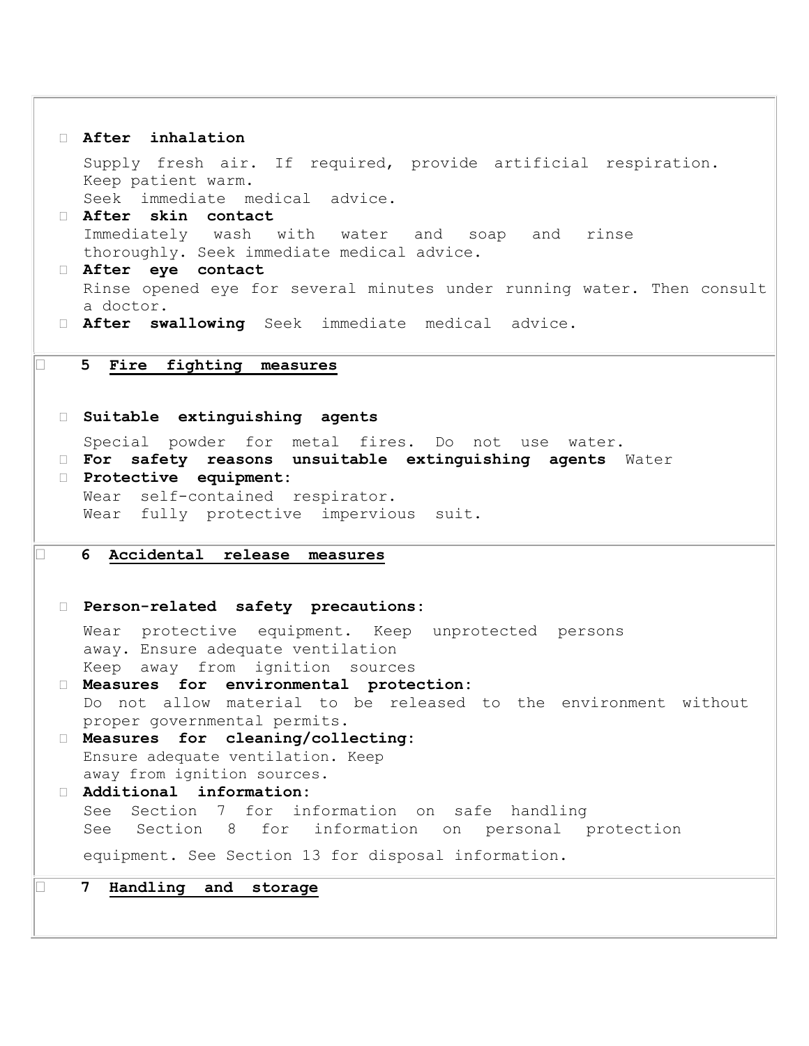```
 After inhalation 
   Supply fresh air. If required, provide artificial respiration. 
   Keep patient warm. 
   Seek immediate medical advice. 
  After skin contact 
   Immediately wash with water and soap and rinse 
   thoroughly. Seek immediate medical advice. 
  After eye contact 
   Rinse opened eye for several minutes under running water. Then consult 
   a doctor. 
  After swallowing Seek immediate medical advice.
5 Fire fighting measures
  Suitable extinguishing agents 
   Special powder for metal fires. Do not use water. 
  For safety reasons unsuitable extinguishing agents Water
  Protective equipment: 
   Wear self-contained respirator. 
   Wear fully protective impervious suit. 
6 Accidental release measures
  Person-related safety precautions: 
   Wear protective equipment. Keep unprotected persons 
   away. Ensure adequate ventilation 
   Keep away from ignition sources 
  Measures for environmental protection: 
   Do not allow material to be released to the environment without 
   proper governmental permits. 
  Measures for cleaning/collecting: 
   Ensure adequate ventilation. Keep 
   away from ignition sources. 
  Additional information: 
   See Section 7 for information on safe handling 
   See Section 8 for information on personal protection 
   equipment. See Section 13 for disposal information. 
7 Handling and storage
```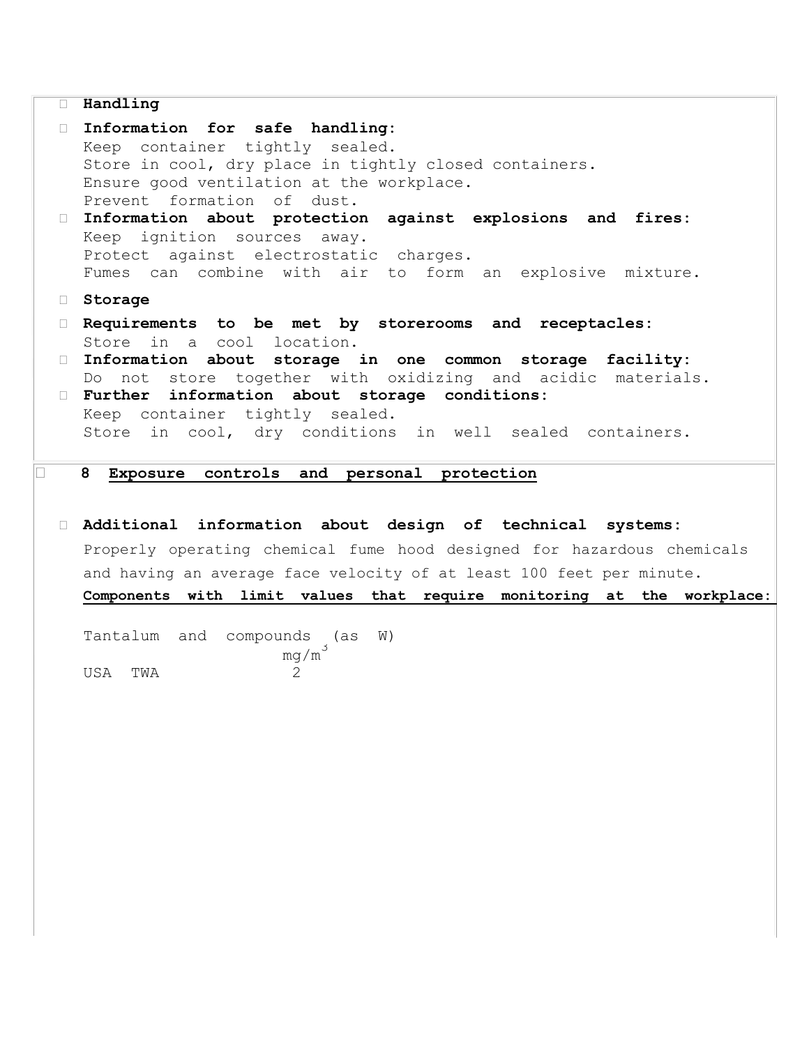#### **Handling**

 **Information for safe handling:**  Keep container tightly sealed. Store in cool, dry place in tightly closed containers. Ensure good ventilation at the workplace. Prevent formation of dust. **Information about protection against explosions and fires:**  Keep ignition sources away. Protect against electrostatic charges. Fumes can combine with air to form an explosive mixture. **Storage Requirements to be met by storerooms and receptacles:**  Store in a cool location. **Information about storage in one common storage facility:**  Do not store together with oxidizing and acidic materials. **Further information about storage conditions:**  Keep container tightly sealed. Store in cool, dry conditions in well sealed containers. **8 Exposure controls and personal protection Additional information about design of technical systems:**  Properly operating chemical fume hood designed for hazardous chemicals and having an average face velocity of at least 100 feet per minute.

**Components with limit values that require monitoring at the workplace:** 

Tantalum and compounds (as W)  $mg/m<sup>3</sup>$ USA TWA 2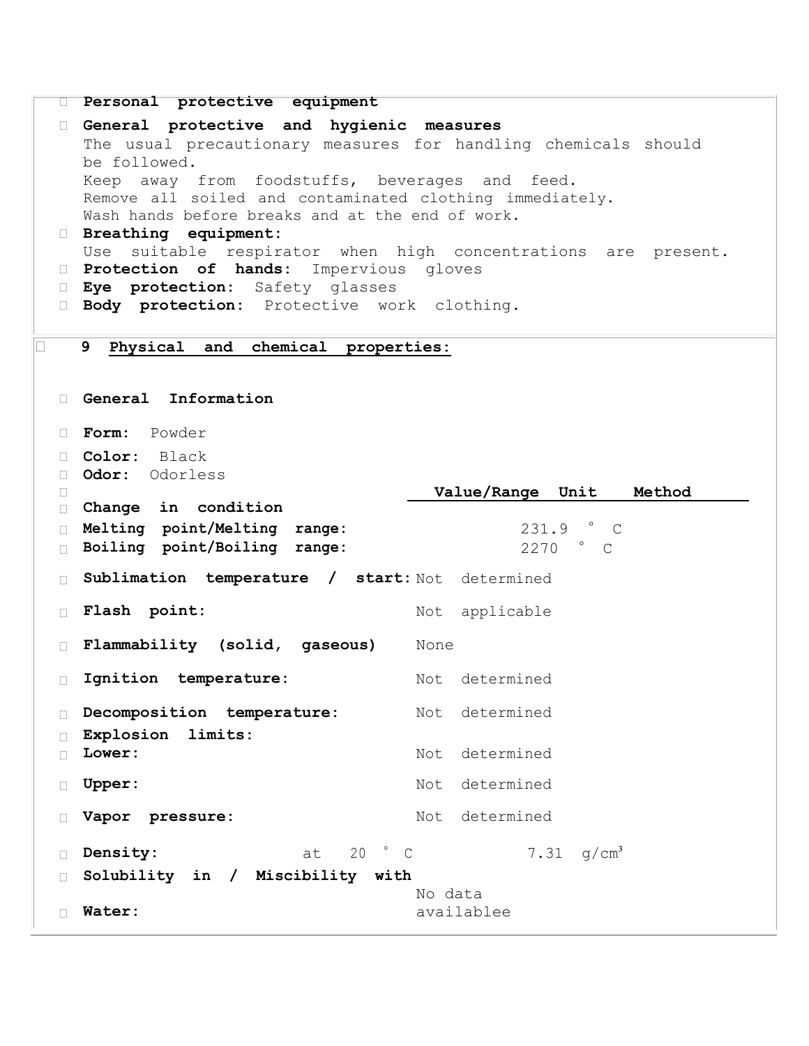```
 Personal protective equipment 
 General protective and hygienic measures 
   The usual precautionary measures for handling chemicals should 
  be followed. 
   Keep away from foodstuffs, beverages and feed. 
   Remove all soiled and contaminated clothing immediately. 
   Wash hands before breaks and at the end of work. 
 Breathing equipment: 
  Use suitable respirator when high concentrations are present. 
 Protection of hands: Impervious gloves
 Eye protection: Safety glasses
 Body protection: Protective work clothing.
9 Physical and chemical properties:
 General Information 
 Form: Powder
 Color: Black
 Odor: Odorless
\BoxChange in condition

                                 Value/Range Unit Method
 Melting point/Melting range: 231.9 ° C
Boiling point/Boiling range:
 Sublimation temperature / start: Not determined
Flash point: Not applicable
 Flammability (solid, gaseous) None
 Ignition temperature: Not determined
 Decomposition temperature: Not determined
 Explosion limits:
□ Lower: Not determined
□ Upper: Not determined
□ Vapor pressure: Not determined
 Density: at 20 ° C 7.31 g/cm³
 Solubility in / Miscibility with
 Water:
                               No data 
                               availablee
```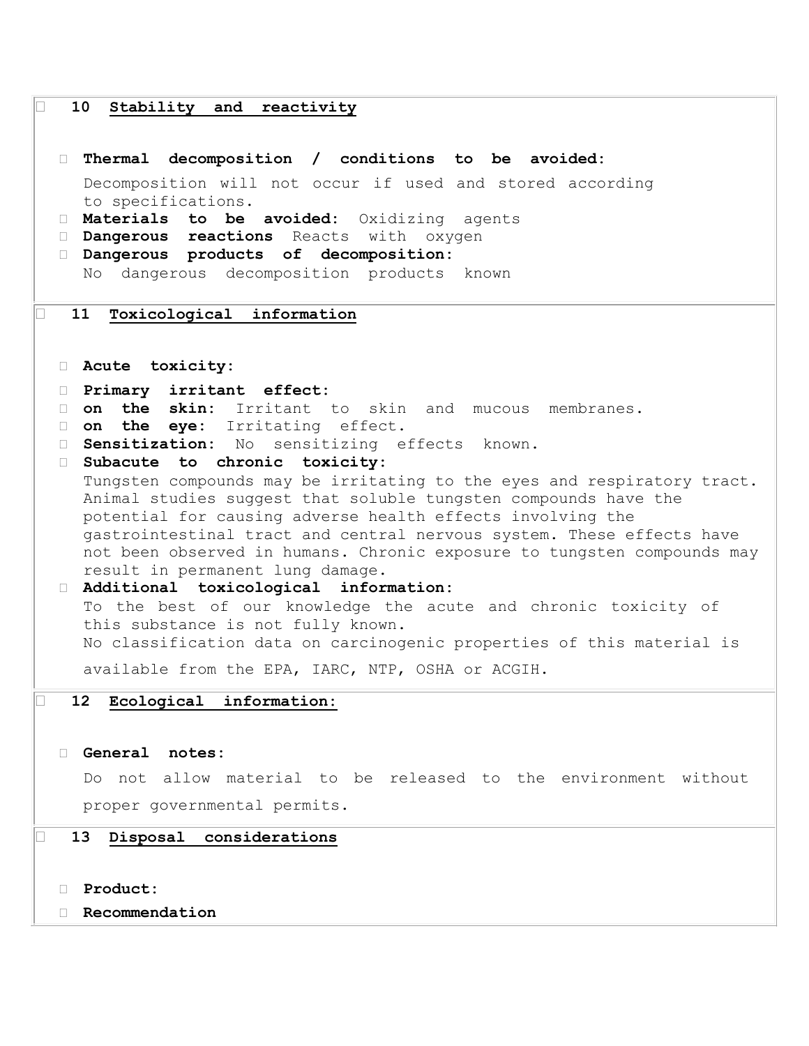# **10 Stability and reactivity Thermal decomposition / conditions to be avoided:**  Decomposition will not occur if used and stored according to specifications. **Materials to be avoided:** Oxidizing agents **Dangerous reactions** Reacts with oxygen **Dangerous products of decomposition:**  No dangerous decomposition products known **11 Toxicological information Acute toxicity: Primary irritant effect: on the skin:** Irritant to skin and mucous membranes. **on the eye:** Irritating effect. **Sensitization:** No sensitizing effects known. **Subacute to chronic toxicity:**  Tungsten compounds may be irritating to the eyes and respiratory tract. Animal studies suggest that soluble tungsten compounds have the potential for causing adverse health effects involving the gastrointestinal tract and central nervous system. These effects have not been observed in humans. Chronic exposure to tungsten compounds may result in permanent lung damage. **Additional toxicological information:**  To the best of our knowledge the acute and chronic toxicity of this substance is not fully known. No classification data on carcinogenic properties of this material is available from the EPA, IARC, NTP, OSHA or ACGIH. **12 Ecological information: General notes:**  Do not allow material to be released to the environment without proper governmental permits. **13 Disposal considerations Product:**

**Recommendation**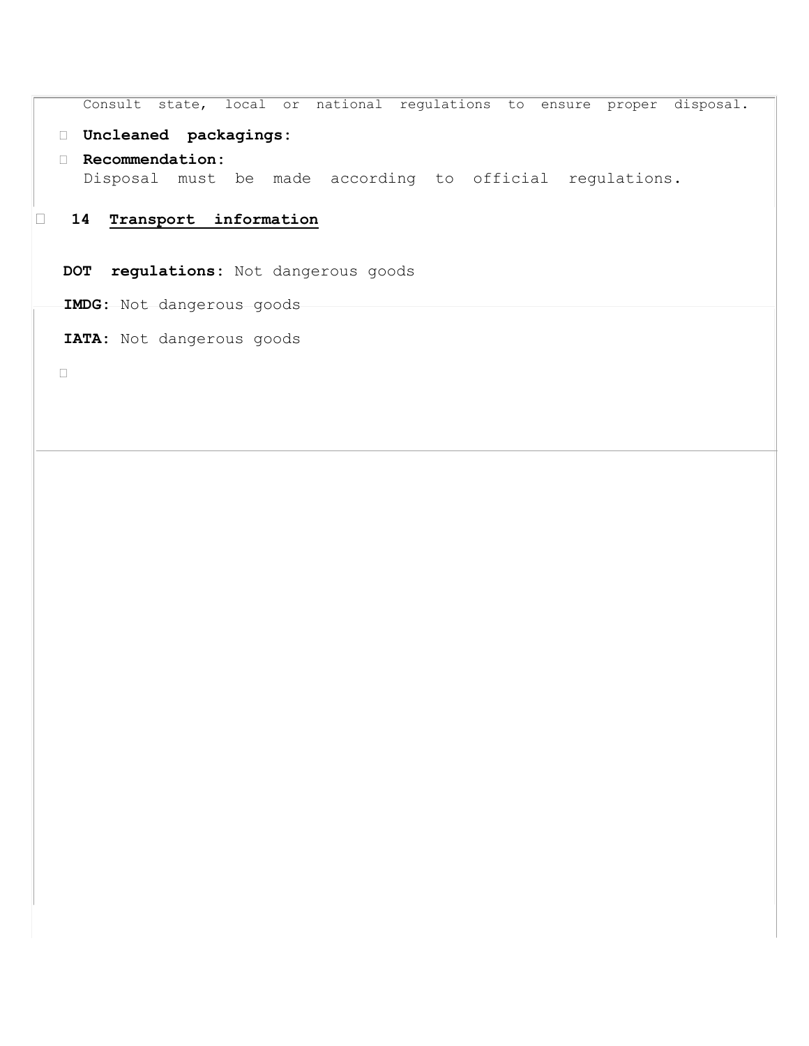Consult state, local or national regulations to ensure proper disposal.

## **Uncleaned packagings:**

 **Recommendation:**  Disposal must be made according to official regulations.

## **14 Transport information**

**DOT regulations:** Not dangerous goods

**IMDG:** Not dangerous goods

**IATA:** Not dangerous goods

 $\Box$